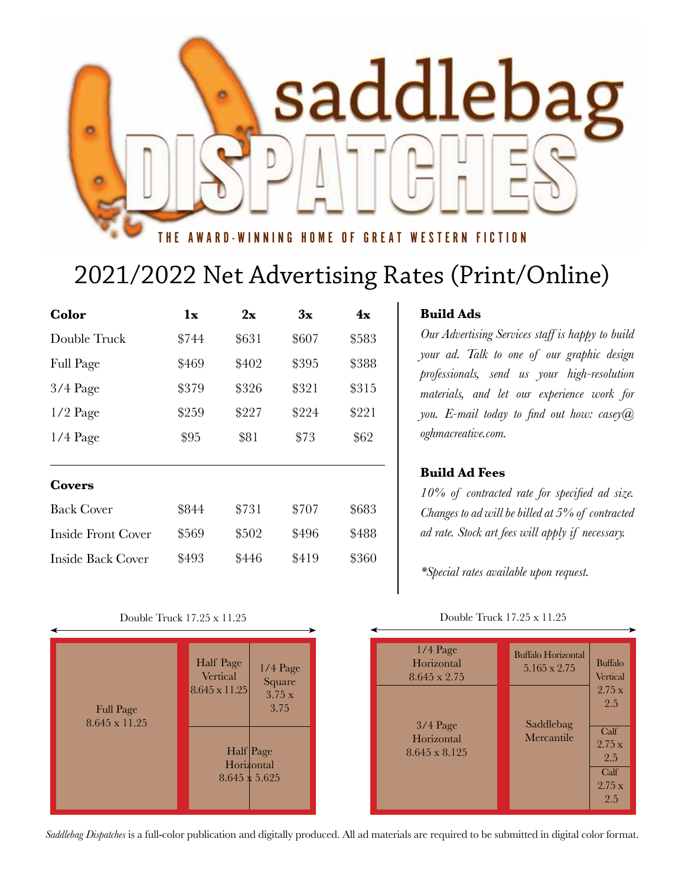

## 2021/2022 Net Advertising Rates (Print/Online)

| Color                     | 1x    | 2x    | 3x    | 4x    |
|---------------------------|-------|-------|-------|-------|
| Double Truck              | \$744 | \$631 | \$607 | \$583 |
| <b>Full Page</b>          | \$469 | \$402 | \$395 | \$388 |
| $3/4$ Page                | \$379 | \$326 | \$321 | \$315 |
| $1/2$ Page                | \$259 | \$227 | \$224 | \$221 |
| $1/4$ Page                | \$95  | \$81  | \$73  | \$62  |
| Covers                    |       |       |       |       |
| <b>Back Cover</b>         | \$844 | \$731 | \$707 | \$683 |
| <b>Inside Front Cover</b> | \$569 | \$502 | \$496 | \$488 |
| Inside Back Cover         | \$493 | \$446 | \$419 | \$360 |

#### **Build Ads**

*Our Advertising Services staff is happy to build your ad. Talk to one of our graphic design professionals, send us your high-resolution materials, and let our experience work for you. E-mail today to find out how: casey@ oghmacreative.com.*

### **Build Ad Fees**

*10% of contracted rate for specified ad size. Changes to ad will be billed at 5% of contracted ad rate. Stock art fees will apply if necessary.* 

*\*Special rates available upon request.*

#### Double Truck 17.25 x 11.25

| $1/4$ Page<br>Square                 | $1/4$ Page<br>Horizontal<br>8.645 x 2.75  | <b>Buffalo Horizontal</b><br>$5.165 \times 2.75$ | <b>Buffalo</b><br>Vertical                                    |
|--------------------------------------|-------------------------------------------|--------------------------------------------------|---------------------------------------------------------------|
| 3.75x<br>3.75<br>age<br>ntal<br>.625 | $3/4$ Page<br>Horizontal<br>8.645 x 8.125 | Saddlebag<br>Mercantile                          | 2.75 x<br>2.5<br>Calf<br>2.75x<br>2.5<br>Calf<br>2.75x<br>2.5 |

Double Truck 17.25 x 11.25

| <b>Full Page</b><br>8.645 x 11.25 | Half Page<br>1/4 Page<br>Vertical<br>Square<br>8.645 x 11.25<br>3.75x<br>3.75 |
|-----------------------------------|-------------------------------------------------------------------------------|
|                                   | Half Page<br>Horizontal<br>$8.645 \times 5.625$                               |

*Saddlebag Dispatches* is a full-color publication and digitally produced. All ad materials are required to be submitted in digital color format.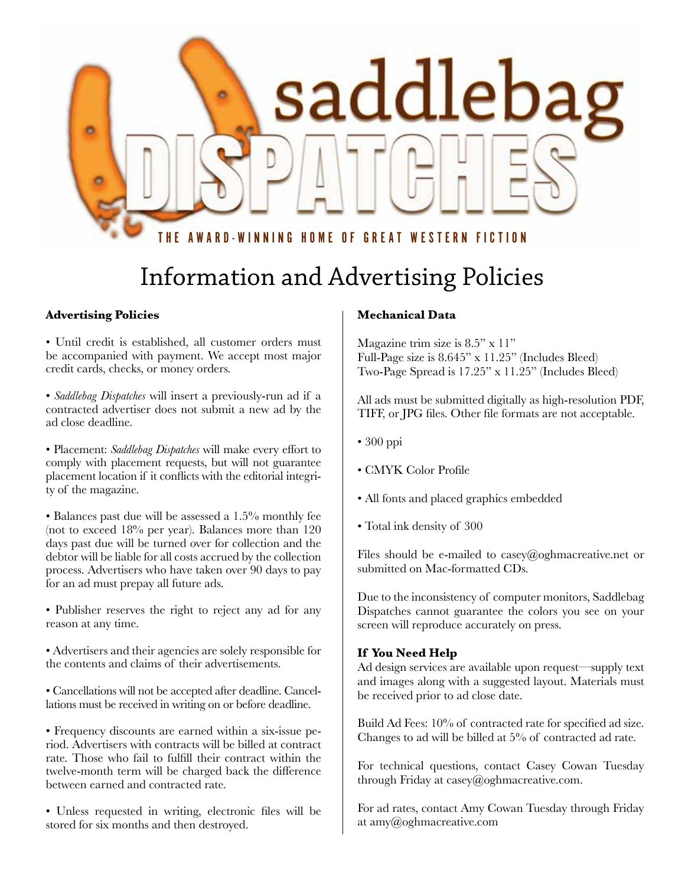

# Information and Advertising Policies

### **Advertising Policies**

• Until credit is established, all customer orders must be accompanied with payment. We accept most major credit cards, checks, or money orders.

• *Saddlebag Dispatches* will insert a previously-run ad if a contracted advertiser does not submit a new ad by the ad close deadline.

• Placement: *Saddlebag Dispatches* will make every effort to comply with placement requests, but will not guarantee placement location if it conflicts with the editorial integrity of the magazine.

• Balances past due will be assessed a 1.5% monthly fee (not to exceed 18% per year). Balances more than 120 days past due will be turned over for collection and the debtor will be liable for all costs accrued by the collection process. Advertisers who have taken over 90 days to pay for an ad must prepay all future ads.

• Publisher reserves the right to reject any ad for any reason at any time.

• Advertisers and their agencies are solely responsible for the contents and claims of their advertisements.

• Cancellations will not be accepted after deadline. Cancellations must be received in writing on or before deadline.

• Frequency discounts are earned within a six-issue period. Advertisers with contracts will be billed at contract rate. Those who fail to fulfill their contract within the twelve-month term will be charged back the difference between earned and contracted rate.

• Unless requested in writing, electronic files will be stored for six months and then destroyed.

#### **Mechanical Data**

Magazine trim size is 8.5" x 11" Full-Page size is 8.645" x 11.25" (Includes Bleed) Two-Page Spread is 17.25" x 11.25" (Includes Bleed)

All ads must be submitted digitally as high-resolution PDF, TIFF, or JPG files. Other file formats are not acceptable.

- 300 ppi
- CMYK Color Profile
- All fonts and placed graphics embedded
- Total ink density of 300

Files should be e-mailed to casey@oghmacreative.net or submitted on Mac-formatted CDs.

Due to the inconsistency of computer monitors, Saddlebag Dispatches cannot guarantee the colors you see on your screen will reproduce accurately on press.

#### **If You Need Help**

Ad design services are available upon request—supply text and images along with a suggested layout. Materials must be received prior to ad close date.

Build Ad Fees: 10% of contracted rate for specified ad size. Changes to ad will be billed at 5% of contracted ad rate.

For technical questions, contact Casey Cowan Tuesday through Friday at casey@oghmacreative.com.

For ad rates, contact Amy Cowan Tuesday through Friday at amy@oghmacreative.com